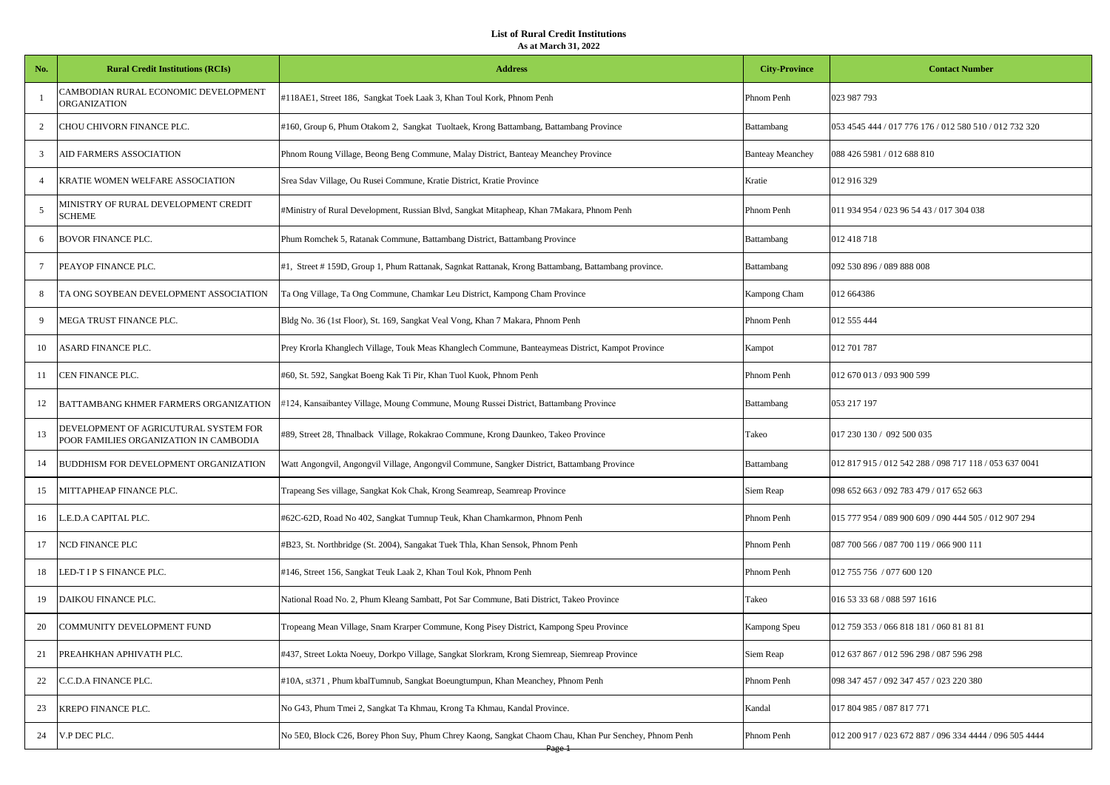| No. | <b>Rural Credit Institutions (RCIs)</b>                                         | <b>Address</b>                                                                                        | <b>City-Province</b>    | <b>Contact Number</b>                                   |
|-----|---------------------------------------------------------------------------------|-------------------------------------------------------------------------------------------------------|-------------------------|---------------------------------------------------------|
|     | CAMBODIAN RURAL ECONOMIC DEVELOPMENT<br><b>ORGANIZATION</b>                     | #118AE1, Street 186, Sangkat Toek Laak 3, Khan Toul Kork, Phnom Penh                                  | Phnom Penh              | 023 987 793                                             |
| 2   | CHOU CHIVORN FINANCE PLC.                                                       | #160, Group 6, Phum Otakom 2, Sangkat Tuoltaek, Krong Battambang, Battambang Province                 | <b>Battambang</b>       | 053 4545 444 / 017 776 176 / 012 580 510 / 012 732 320  |
| 3   | AID FARMERS ASSOCIATION                                                         | Phnom Roung Village, Beong Beng Commune, Malay District, Banteay Meanchey Province                    | <b>Banteay Meanchey</b> | 088 426 5981 / 012 688 810                              |
|     | KRATIE WOMEN WELFARE ASSOCIATION                                                | Srea Sdav Village, Ou Rusei Commune, Kratie District, Kratie Province                                 | Kratie                  | 012 916 329                                             |
|     | MINISTRY OF RURAL DEVELOPMENT CREDIT<br><b>SCHEME</b>                           | #Ministry of Rural Development, Russian Blvd, Sangkat Mitapheap, Khan 7Makara, Phnom Penh             | Phnom Penh              | 011 934 954 / 023 96 54 43 / 017 304 038                |
| 6   | <b>BOVOR FINANCE PLC.</b>                                                       | Phum Romchek 5, Ratanak Commune, Battambang District, Battambang Province                             | <b>Battambang</b>       | 012 418 718                                             |
| 7   | PEAYOP FINANCE PLC.                                                             | #1, Street # 159D, Group 1, Phum Rattanak, Sagnkat Rattanak, Krong Battambang, Battambang province.   | Battambang              | 092 530 896 / 089 888 008                               |
|     | TA ONG SOYBEAN DEVELOPMENT ASSOCIATION                                          | Ta Ong Village, Ta Ong Commune, Chamkar Leu District, Kampong Cham Province                           | Kampong Cham            | 012 664386                                              |
|     | MEGA TRUST FINANCE PLC.                                                         | Bldg No. 36 (1st Floor), St. 169, Sangkat Veal Vong, Khan 7 Makara, Phnom Penh                        | Phnom Penh              | 012 555 444                                             |
| 10  | ASARD FINANCE PLC.                                                              | Prey Krorla Khanglech Village, Touk Meas Khanglech Commune, Banteaymeas District, Kampot Province     | Kampot                  | 012 701 787                                             |
| -11 | CEN FINANCE PLC.                                                                | #60, St. 592, Sangkat Boeng Kak Ti Pir, Khan Tuol Kuok, Phnom Penh                                    | Phnom Penh              | 012 670 013 / 093 900 599                               |
| 12  | BATTAMBANG KHMER FARMERS ORGANIZATION                                           | #124, Kansaibantey Village, Moung Commune, Moung Russei District, Battambang Province                 | <b>Battambang</b>       | 053 217 197                                             |
| 13  | DEVELOPMENT OF AGRICUTURAL SYSTEM FOR<br>POOR FAMILIES ORGANIZATION IN CAMBODIA | #89, Street 28, Thnalback Village, Rokakrao Commune, Krong Daunkeo, Takeo Province                    | Takeo                   | 017 230 130 / 092 500 035                               |
| 14  | BUDDHISM FOR DEVELOPMENT ORGANIZATION                                           | Watt Angongvil, Angongvil Village, Angongvil Commune, Sangker District, Battambang Province           | Battambang              | 012 817 915 / 012 542 288 / 098 717 118 / 053 637 0041  |
| 15  | MITTAPHEAP FINANCE PLC.                                                         | Trapeang Ses village, Sangkat Kok Chak, Krong Seamreap, Seamreap Province                             | Siem Reap               | 098 652 663 / 092 783 479 / 017 652 663                 |
| 16  | E.D.A CAPITAL PLC.                                                              | #62C-62D, Road No 402, Sangkat Tumnup Teuk, Khan Chamkarmon, Phnom Penh                               | Phnom Penh              | 015 777 954 / 089 900 609 / 090 444 505 / 012 907 294   |
| 17  | NCD FINANCE PLC                                                                 | #B23, St. Northbridge (St. 2004), Sangakat Tuek Thla, Khan Sensok, Phnom Penh                         | Phnom Penh              | 087 700 566 / 087 700 119 / 066 900 111                 |
| 18  | LED-T I P S FINANCE PLC.                                                        | #146, Street 156, Sangkat Teuk Laak 2, Khan Toul Kok, Phnom Penh                                      | Phnom Penh              | 012 755 756 / 077 600 120                               |
| 19  | DAIKOU FINANCE PLC.                                                             | National Road No. 2, Phum Kleang Sambatt, Pot Sar Commune, Bati District, Takeo Province              | Takeo                   | 016 53 33 68 / 088 597 1616                             |
| 20  | COMMUNITY DEVELOPMENT FUND                                                      | Tropeang Mean Village, Snam Krarper Commune, Kong Pisey District, Kampong Speu Province               | Kampong Speu            | 012 759 353 / 066 818 181 / 060 81 81 81                |
| 21  | PREAHKHAN APHIVATH PLC.                                                         | #437, Street Lokta Noeuy, Dorkpo Village, Sangkat Slorkram, Krong Siemreap, Siemreap Province         | Siem Reap               | 012 637 867 / 012 596 298 / 087 596 298                 |
| 22  | C.C.D.A FINANCE PLC.                                                            | #10A, st371, Phum kbalTumnub, Sangkat Boeungtumpun, Khan Meanchey, Phnom Penh                         | Phnom Penh              | 098 347 457 / 092 347 457 / 023 220 380                 |
| 23  | KREPO FINANCE PLC.                                                              | No G43, Phum Tmei 2, Sangkat Ta Khmau, Krong Ta Khmau, Kandal Province.                               | Kandal                  | 017 804 985 / 087 817 771                               |
| 24  | V.P DEC PLC.                                                                    | No 5E0, Block C26, Borey Phon Suy, Phum Chrey Kaong, Sangkat Chaom Chau, Khan Pur Senchey, Phnom Penh | Phnom Penh              | 012 200 917 / 023 672 887 / 096 334 4444 / 096 505 4444 |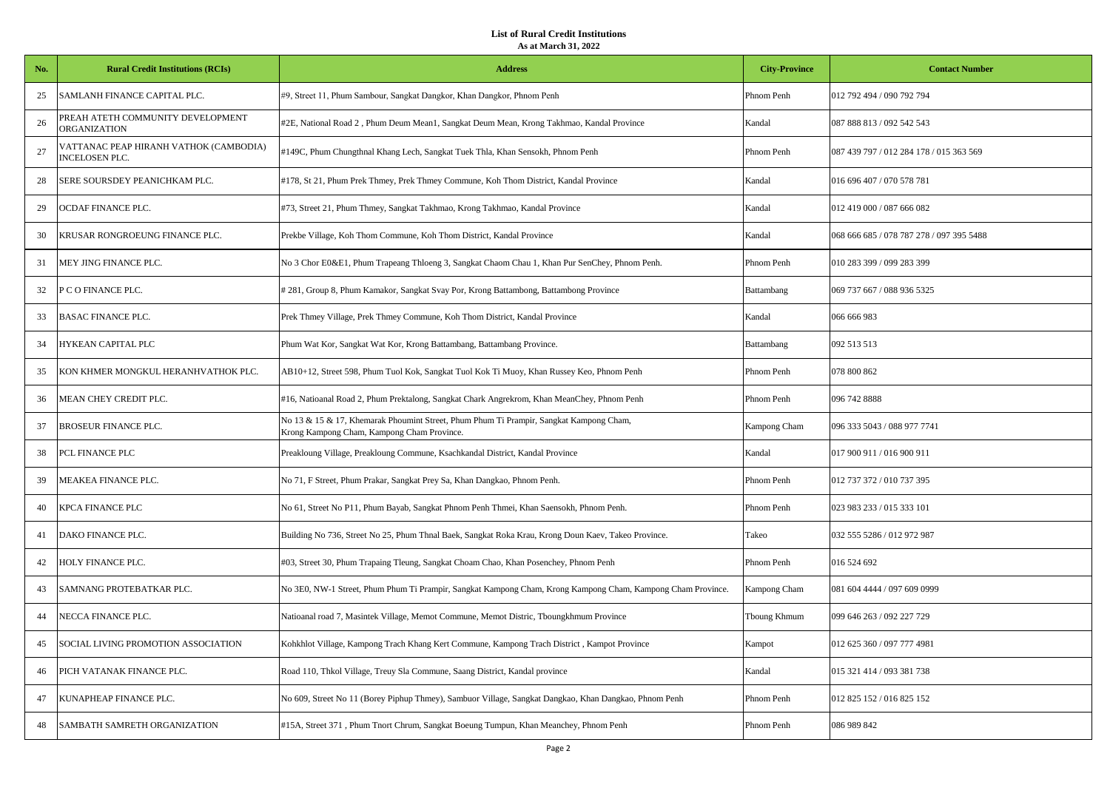| No. | <b>Rural Credit Institutions (RCIs)</b>                  | <b>Address</b>                                                                                                                       | <b>City-Province</b> | <b>Contact Number</b>                    |
|-----|----------------------------------------------------------|--------------------------------------------------------------------------------------------------------------------------------------|----------------------|------------------------------------------|
| 25  | SAMLANH FINANCE CAPITAL PLC.                             | #9, Street 11, Phum Sambour, Sangkat Dangkor, Khan Dangkor, Phnom Penh                                                               | Phnom Penh           | 012 792 494 / 090 792 794                |
| 26  | PREAH ATETH COMMUNITY DEVELOPMENT<br><b>ORGANIZATION</b> | #2E, National Road 2, Phum Deum Mean1, Sangkat Deum Mean, Krong Takhmao, Kandal Province                                             | Kandal               | 087 888 813 / 092 542 543                |
| 27  | VATTANAC PEAP HIRANH VATHOK (CAMBODIA)<br>NCELOSEN PLC.  | #149C, Phum Chungthnal Khang Lech, Sangkat Tuek Thla, Khan Sensokh, Phnom Penh                                                       | Phnom Penh           | 087 439 797 / 012 284 178 / 015 363 569  |
| 28  | SERE SOURSDEY PEANICHKAM PLC.                            | #178, St 21, Phum Prek Thmey, Prek Thmey Commune, Koh Thom District, Kandal Province                                                 | Kandal               | 016 696 407 / 070 578 781                |
| 29  | OCDAF FINANCE PLC.                                       | #73, Street 21, Phum Thmey, Sangkat Takhmao, Krong Takhmao, Kandal Province                                                          | Kandal               | 012 419 000 / 087 666 082                |
| 30  | KRUSAR RONGROEUNG FINANCE PLC.                           | Prekbe Village, Koh Thom Commune, Koh Thom District, Kandal Province                                                                 | Kandal               | 068 666 685 / 078 787 278 / 097 395 5488 |
| 31  | MEY JING FINANCE PLC.                                    | No 3 Chor E0&E1, Phum Trapeang Thloeng 3, Sangkat Chaom Chau 1, Khan Pur SenChey, Phnom Penh.                                        | Phnom Penh           | 010 283 399 / 099 283 399                |
| 32  | P C O FINANCE PLC.                                       | #281, Group 8, Phum Kamakor, Sangkat Svay Por, Krong Battambong, Battambong Province                                                 | Battambang           | 069 737 667 / 088 936 5325               |
| 33  | <b>BASAC FINANCE PLC.</b>                                | Prek Thmey Village, Prek Thmey Commune, Koh Thom District, Kandal Province                                                           | Kandal               | 066 666 983                              |
| 34  | HYKEAN CAPITAL PLC                                       | Phum Wat Kor, Sangkat Wat Kor, Krong Battambang, Battambang Province.                                                                | Battambang           | 092 513 513                              |
| 35  | KON KHMER MONGKUL HERANHVATHOK PLC.                      | AB10+12, Street 598, Phum Tuol Kok, Sangkat Tuol Kok Ti Muoy, Khan Russey Keo, Phnom Penh                                            | Phnom Penh           | 078 800 862                              |
| 36  | MEAN CHEY CREDIT PLC.                                    | #16, Natioanal Road 2, Phum Prektalong, Sangkat Chark Angrekrom, Khan MeanChey, Phnom Penh                                           | Phnom Penh           | 096 742 8888                             |
| 37  | BROSEUR FINANCE PLC.                                     | No 13 & 15 & 17, Khemarak Phoumint Street, Phum Phum Ti Prampir, Sangkat Kampong Cham,<br>Krong Kampong Cham, Kampong Cham Province. | Kampong Cham         | 096 333 5043 / 088 977 7741              |
| 38  | PCL FINANCE PLC                                          | Preakloung Village, Preakloung Commune, Ksachkandal District, Kandal Province                                                        | Kandal               | 017 900 911 / 016 900 911                |
| 39  | MEAKEA FINANCE PLC.                                      | No 71, F Street, Phum Prakar, Sangkat Prey Sa, Khan Dangkao, Phnom Penh.                                                             | Phnom Penh           | 012 737 372 / 010 737 395                |
| 40  | KPCA FINANCE PLC                                         | No 61, Street No P11, Phum Bayab, Sangkat Phnom Penh Thmei, Khan Saensokh, Phnom Penh.                                               | Phnom Penh           | 023 983 233 / 015 333 101                |
| 41  | DAKO FINANCE PLC.                                        | Building No 736, Street No 25, Phum Thnal Baek, Sangkat Roka Krau, Krong Doun Kaev, Takeo Province.                                  | Takeo                | 032 555 5286 / 012 972 987               |
| 42  | HOLY FINANCE PLC.                                        | #03, Street 30, Phum Trapaing Tleung, Sangkat Choam Chao, Khan Posenchey, Phnom Penh                                                 | Phnom Penh           | 016 524 692                              |
| 43  | SAMNANG PROTEBATKAR PLC.                                 | No 3E0, NW-1 Street, Phum Phum Ti Prampir, Sangkat Kampong Cham, Krong Kampong Cham, Kampong Cham Province.                          | Kampong Cham         | 081 604 4444 / 097 609 0999              |
| 44  | NECCA FINANCE PLC.                                       | Natioanal road 7, Masintek Village, Memot Commune, Memot Distric, Tboungkhmum Province                                               | Tboung Khmum         | 099 646 263 / 092 227 729                |
| 45  | SOCIAL LIVING PROMOTION ASSOCIATION                      | Kohkhlot Village, Kampong Trach Khang Kert Commune, Kampong Trach District, Kampot Province                                          | Kampot               | 012 625 360 / 097 777 4981               |
| 46  | PICH VATANAK FINANCE PLC.                                | Road 110, Thkol Village, Treuy Sla Commune, Saang District, Kandal province                                                          | Kandal               | 015 321 414 / 093 381 738                |
| 47  | KUNAPHEAP FINANCE PLC.                                   | No 609, Street No 11 (Borey Piphup Thmey), Sambuor Village, Sangkat Dangkao, Khan Dangkao, Phnom Penh                                | Phnom Penh           | 012 825 152 / 016 825 152                |
| 48  | SAMBATH SAMRETH ORGANIZATION                             | #15A, Street 371, Phum Tnort Chrum, Sangkat Boeung Tumpun, Khan Meanchey, Phnom Penh                                                 | Phnom Penh           | 086 989 842                              |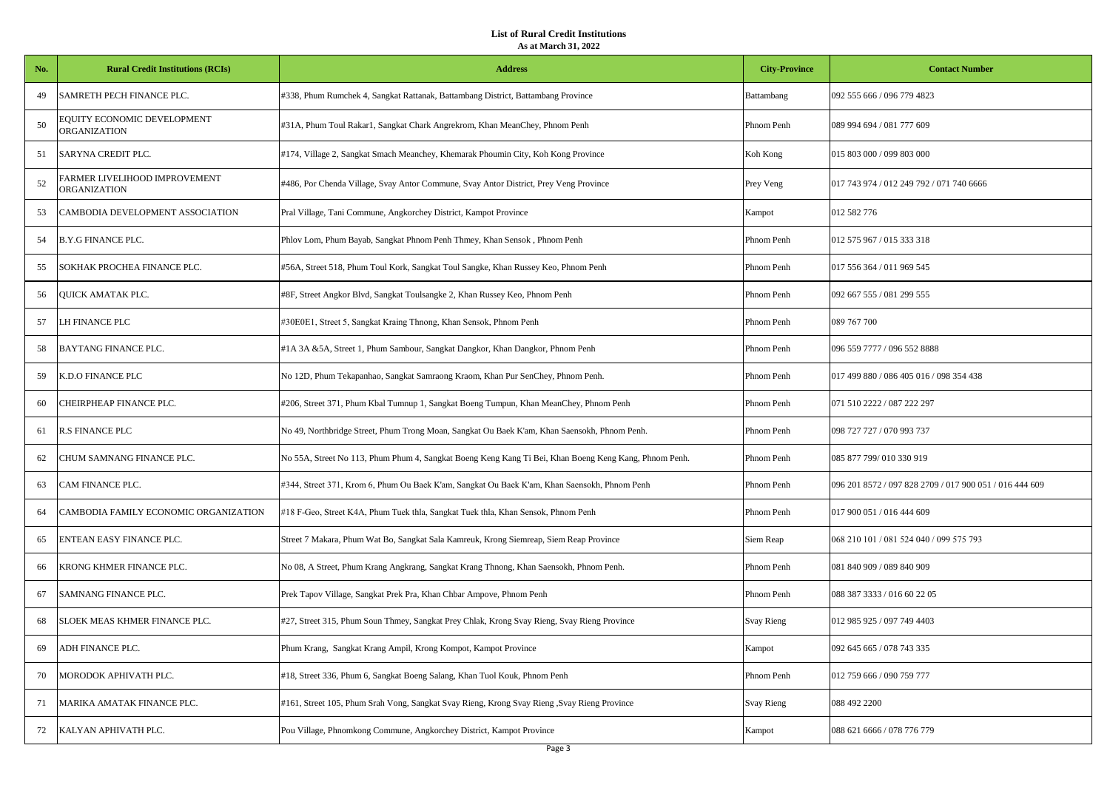| No. | <b>Rural Credit Institutions (RCIs)</b>             | <b>Address</b>                                                                                        | <b>City-Province</b> | <b>Contact Number</b>                                   |
|-----|-----------------------------------------------------|-------------------------------------------------------------------------------------------------------|----------------------|---------------------------------------------------------|
| 49  | SAMRETH PECH FINANCE PLC.                           | #338, Phum Rumchek 4, Sangkat Rattanak, Battambang District, Battambang Province                      | Battambang           | 092 555 666 / 096 779 4823                              |
| 50  | EQUITY ECONOMIC DEVELOPMENT<br>ORGANIZATION         | #31A, Phum Toul Rakar1, Sangkat Chark Angrekrom, Khan MeanChey, Phnom Penh                            | Phnom Penh           | 089 994 694 / 081 777 609                               |
| 51  | SARYNA CREDIT PLC.                                  | #174, Village 2, Sangkat Smach Meanchey, Khemarak Phoumin City, Koh Kong Province                     | Koh Kong             | 015 803 000 / 099 803 000                               |
| 52  | <b>ARMER LIVELIHOOD IMPROVEMENT</b><br>ORGANIZATION | #486, Por Chenda Village, Svay Antor Commune, Svay Antor District, Prey Veng Province                 | Prey Veng            | 017 743 974 / 012 249 792 / 071 740 6666                |
| 53  | CAMBODIA DEVELOPMENT ASSOCIATION                    | Pral Village, Tani Commune, Angkorchey District, Kampot Province                                      | Kampot               | 012 582 776                                             |
| 54  | <b>B.Y.G FINANCE PLC.</b>                           | Phlov Lom, Phum Bayab, Sangkat Phnom Penh Thmey, Khan Sensok, Phnom Penh                              | Phnom Penh           | 012 575 967 / 015 333 318                               |
| 55  | SOKHAK PROCHEA FINANCE PLC.                         | #56A, Street 518, Phum Toul Kork, Sangkat Toul Sangke, Khan Russey Keo, Phnom Penh                    | Phnom Penh           | 017 556 364 / 011 969 545                               |
| 56  | <b>QUICK AMATAK PLC.</b>                            | #8F, Street Angkor Blvd, Sangkat Toulsangke 2, Khan Russey Keo, Phnom Penh                            | Phnom Penh           | 092 667 555 / 081 299 555                               |
| 57  | LH FINANCE PLC                                      | #30E0E1, Street 5, Sangkat Kraing Thnong, Khan Sensok, Phnom Penh                                     | Phnom Penh           | 089 767 700                                             |
| 58  | BAYTANG FINANCE PLC.                                | #1A 3A &5A, Street 1, Phum Sambour, Sangkat Dangkor, Khan Dangkor, Phnom Penh                         | Phnom Penh           | 096 559 7777 / 096 552 8888                             |
| 59  | K.D.O FINANCE PLC                                   | No 12D, Phum Tekapanhao, Sangkat Samraong Kraom, Khan Pur SenChey, Phnom Penh.                        | Phnom Penh           | 017 499 880 / 086 405 016 / 098 354 438                 |
| 60  | CHEIRPHEAP FINANCE PLC.                             | #206, Street 371, Phum Kbal Tumnup 1, Sangkat Boeng Tumpun, Khan MeanChey, Phnom Penh                 | Phnom Penh           | 071 510 2222 / 087 222 297                              |
| 61  | <b>R.S FINANCE PLC</b>                              | No 49, Northbridge Street, Phum Trong Moan, Sangkat Ou Baek K'am, Khan Saensokh, Phnom Penh.          | Phnom Penh           | 098 727 727 / 070 993 737                               |
| 62  | CHUM SAMNANG FINANCE PLC.                           | No 55A, Street No 113, Phum Phum 4, Sangkat Boeng Keng Kang Ti Bei, Khan Boeng Keng Kang, Phnom Penh. | Phnom Penh           | 085 877 799/010 330 919                                 |
| 63  | CAM FINANCE PLC.                                    | #344, Street 371, Krom 6, Phum Ou Baek K'am, Sangkat Ou Baek K'am, Khan Saensokh, Phnom Penh          | Phnom Penh           | 096 201 8572 / 097 828 2709 / 017 900 051 / 016 444 609 |
| 64  | CAMBODIA FAMILY ECONOMIC ORGANIZATION               | #18 F-Geo, Street K4A, Phum Tuek thla, Sangkat Tuek thla, Khan Sensok, Phnom Penh                     | Phnom Penh           | 017 900 051 / 016 444 609                               |
| 65  | ENTEAN EASY FINANCE PLC.                            | Street 7 Makara, Phum Wat Bo, Sangkat Sala Kamreuk, Krong Siemreap, Siem Reap Province                | Siem Reap            | 068 210 101 / 081 524 040 / 099 575 793                 |
| 66  | KRONG KHMER FINANCE PLC.                            | No 08, A Street, Phum Krang Angkrang, Sangkat Krang Thnong, Khan Saensokh, Phnom Penh.                | Phnom Penh           | 081 840 909 / 089 840 909                               |
| 67  | SAMNANG FINANCE PLC.                                | Prek Tapov Village, Sangkat Prek Pra, Khan Chbar Ampove, Phnom Penh                                   | Phnom Penh           | 088 387 3333 / 016 60 22 05                             |
| 68  | SLOEK MEAS KHMER FINANCE PLC.                       | #27, Street 315, Phum Soun Thmey, Sangkat Prey Chlak, Krong Svay Rieng, Svay Rieng Province           | Svay Rieng           | 012 985 925 / 097 749 4403                              |
| 69  | ADH FINANCE PLC.                                    | Phum Krang, Sangkat Krang Ampil, Krong Kompot, Kampot Province                                        | Kampot               | 092 645 665 / 078 743 335                               |
| 70  | MORODOK APHIVATH PLC.                               | #18, Street 336, Phum 6, Sangkat Boeng Salang, Khan Tuol Kouk, Phnom Penh                             | Phnom Penh           | 012 759 666 / 090 759 777                               |
| 71  | MARIKA AMATAK FINANCE PLC.                          | #161, Street 105, Phum Srah Vong, Sangkat Svay Rieng, Krong Svay Rieng, Svay Rieng Province           | Svay Rieng           | 088 492 2200                                            |
| 72  | KALYAN APHIVATH PLC.                                | Pou Village, Phnomkong Commune, Angkorchey District, Kampot Province                                  | Kampot               | 088 621 6666 / 078 776 779                              |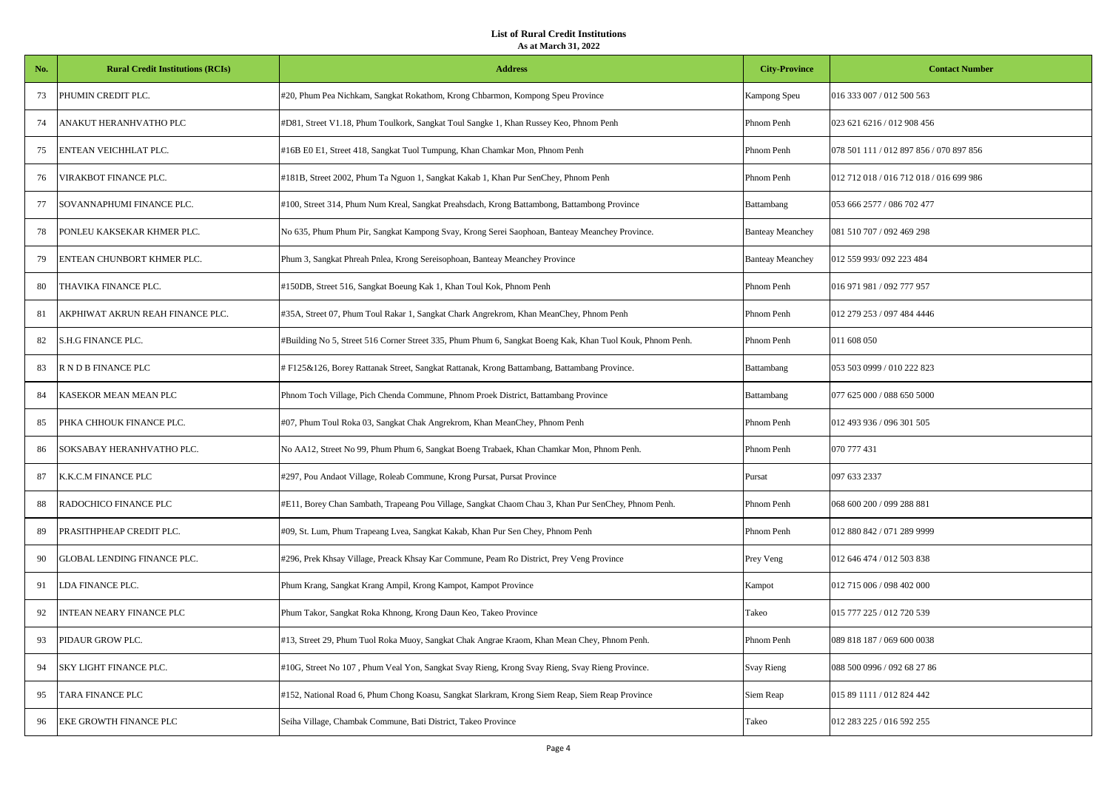| No. | <b>Rural Credit Institutions (RCIs)</b> | <b>Address</b>                                                                                            | <b>City-Province</b>    | <b>Contact Number</b>                   |
|-----|-----------------------------------------|-----------------------------------------------------------------------------------------------------------|-------------------------|-----------------------------------------|
| 73  | PHUMIN CREDIT PLC.                      | #20, Phum Pea Nichkam, Sangkat Rokathom, Krong Chbarmon, Kompong Speu Province                            | Kampong Speu            | 016 333 007 / 012 500 563               |
| 74  | ANAKUT HERANHVATHO PLC                  | #D81, Street V1.18, Phum Toulkork, Sangkat Toul Sangke 1, Khan Russey Keo, Phnom Penh                     | Phnom Penh              | 023 621 6216 / 012 908 456              |
| 75  | ENTEAN VEICHHLAT PLC.                   | #16B E0 E1, Street 418, Sangkat Tuol Tumpung, Khan Chamkar Mon, Phnom Penh                                | Phnom Penh              | 078 501 111 / 012 897 856 / 070 897 856 |
| 76  | VIRAKBOT FINANCE PLC.                   | #181B, Street 2002, Phum Ta Nguon 1, Sangkat Kakab 1, Khan Pur SenChey, Phnom Penh                        | Phnom Penh              | 012 712 018 / 016 712 018 / 016 699 986 |
| 77  | SOVANNAPHUMI FINANCE PLC.               | #100, Street 314, Phum Num Kreal, Sangkat Preahsdach, Krong Battambong, Battambong Province               | Battambang              | 053 666 2577 / 086 702 477              |
| 78  | PONLEU KAKSEKAR KHMER PLC.              | No 635, Phum Phum Pir, Sangkat Kampong Svay, Krong Serei Saophoan, Banteay Meanchey Province.             | <b>Banteay Meanchey</b> | 081 510 707 / 092 469 298               |
| 79  | ENTEAN CHUNBORT KHMER PLC.              | Phum 3, Sangkat Phreah Pnlea, Krong Sereisophoan, Banteay Meanchey Province                               | <b>Banteay Meanchey</b> | 012 559 993/092 223 484                 |
| 80  | THAVIKA FINANCE PLC.                    | #150DB, Street 516, Sangkat Boeung Kak 1, Khan Toul Kok, Phnom Penh                                       | Phnom Penh              | 016 971 981 / 092 777 957               |
| 81  | AKPHIWAT AKRUN REAH FINANCE PLC.        | #35A, Street 07, Phum Toul Rakar 1, Sangkat Chark Angrekrom, Khan MeanChey, Phnom Penh                    | Phnom Penh              | 012 279 253 / 097 484 4446              |
| 82  | S.H.G FINANCE PLC.                      | #Building No 5, Street 516 Corner Street 335, Phum Phum 6, Sangkat Boeng Kak, Khan Tuol Kouk, Phnom Penh. | Phnom Penh              | 011 608 050                             |
| 83  | R N D B FINANCE PLC                     | #F125&126, Borey Rattanak Street, Sangkat Rattanak, Krong Battambang, Battambang Province.                | Battambang              | 053 503 0999 / 010 222 823              |
| 84  | KASEKOR MEAN MEAN PLC                   | Phnom Toch Village, Pich Chenda Commune, Phnom Proek District, Battambang Province                        | Battambang              | 077 625 000 / 088 650 5000              |
| 85  | PHKA CHHOUK FINANCE PLC.                | #07, Phum Toul Roka 03, Sangkat Chak Angrekrom, Khan MeanChey, Phnom Penh                                 | Phnom Penh              | 012 493 936 / 096 301 505               |
| 86  | SOKSABAY HERANHVATHO PLC.               | No AA12, Street No 99, Phum Phum 6, Sangkat Boeng Trabaek, Khan Chamkar Mon, Phnom Penh.                  | Phnom Penh              | 070 777 431                             |
| 87  | K.K.C.M FINANCE PLC                     | #297, Pou Andaot Village, Roleab Commune, Krong Pursat, Pursat Province                                   | Pursat                  | 097 633 2337                            |
| 88  | RADOCHICO FINANCE PLC                   | #E11, Borey Chan Sambath, Trapeang Pou Village, Sangkat Chaom Chau 3, Khan Pur SenChey, Phnom Penh.       | Phnom Penh              | 068 600 200 / 099 288 881               |
| 89  | PRASITHPHEAP CREDIT PLC.                | #09, St. Lum, Phum Trapeang Lvea, Sangkat Kakab, Khan Pur Sen Chey, Phnom Penh                            | Phnom Penh              | 012 880 842 / 071 289 9999              |
| 90  | GLOBAL LENDING FINANCE PLC.             | #296, Prek Khsay Village, Preack Khsay Kar Commune, Peam Ro District, Prey Veng Province                  | Prey Veng               | 012 646 474 / 012 503 838               |
| 91  | LDA FINANCE PLC.                        | Phum Krang, Sangkat Krang Ampil, Krong Kampot, Kampot Province                                            | Kampot                  | 012 715 006 / 098 402 000               |
| 92  | INTEAN NEARY FINANCE PLC                | Phum Takor, Sangkat Roka Khnong, Krong Daun Keo, Takeo Province                                           | Takeo                   | 015 777 225 / 012 720 539               |
| 93  | PIDAUR GROW PLC.                        | #13, Street 29, Phum Tuol Roka Muoy, Sangkat Chak Angrae Kraom, Khan Mean Chey, Phnom Penh.               | Phnom Penh              | 089 818 187 / 069 600 0038              |
| 94  | SKY LIGHT FINANCE PLC.                  | #10G, Street No 107, Phum Veal Yon, Sangkat Svay Rieng, Krong Svay Rieng, Svay Rieng Province.            | <b>Svay Rieng</b>       | 088 500 0996 / 092 68 27 86             |
| 95  | TARA FINANCE PLC                        | #152, National Road 6, Phum Chong Koasu, Sangkat Slarkram, Krong Siem Reap, Siem Reap Province            | Siem Reap               | 015 89 1111 / 012 824 442               |
| 96  | EKE GROWTH FINANCE PLC                  | Seiha Village, Chambak Commune, Bati District, Takeo Province                                             | Takeo                   | 012 283 225 / 016 592 255               |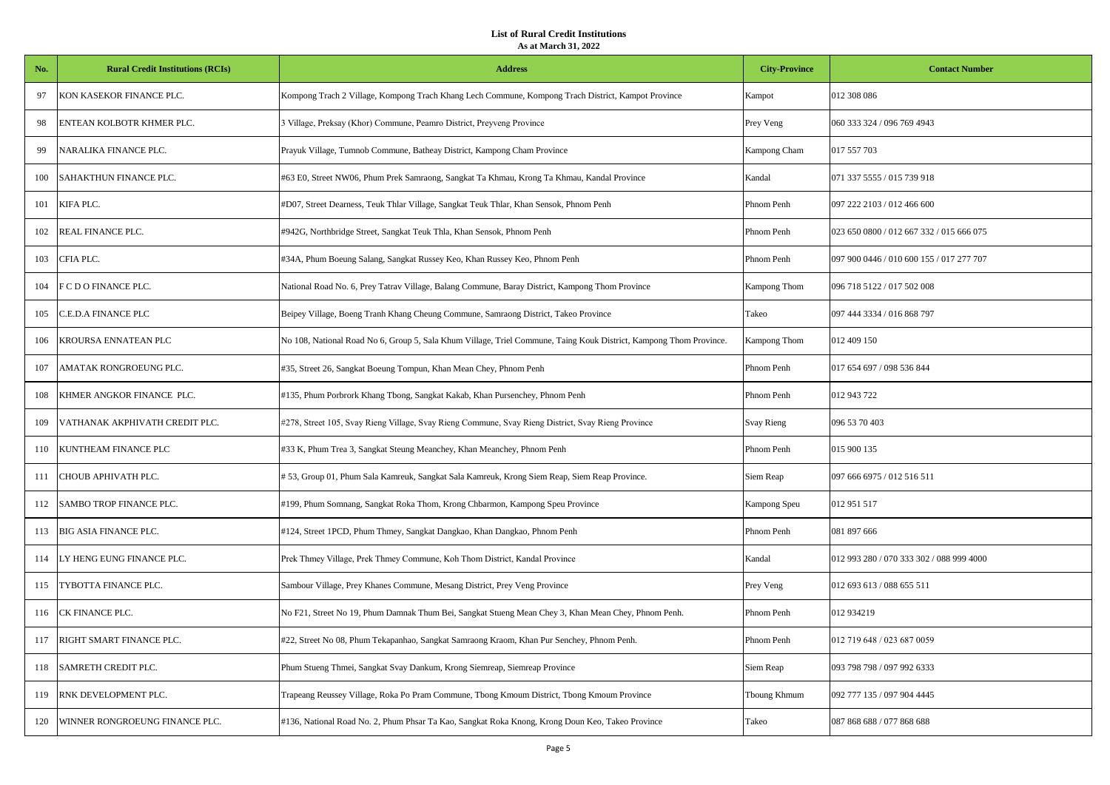| No. | <b>Rural Credit Institutions (RCIs)</b> | <b>Address</b>                                                                                                     | <b>City-Province</b> | <b>Contact Number</b>                    |
|-----|-----------------------------------------|--------------------------------------------------------------------------------------------------------------------|----------------------|------------------------------------------|
| 97  | KON KASEKOR FINANCE PLC.                | Kompong Trach 2 Village, Kompong Trach Khang Lech Commune, Kompong Trach District, Kampot Province                 | Kampot               | 012 308 086                              |
| 98  | ENTEAN KOLBOTR KHMER PLC.               | 3 Village, Preksay (Khor) Commune, Peamro District, Preyveng Province                                              | Prey Veng            | 060 333 324 / 096 769 4943               |
| 99  | NARALIKA FINANCE PLC.                   | Prayuk Village, Tumnob Commune, Batheay District, Kampong Cham Province                                            | Kampong Cham         | 017 557 703                              |
| 100 | SAHAKTHUN FINANCE PLC.                  | #63 E0, Street NW06, Phum Prek Samraong, Sangkat Ta Khmau, Krong Ta Khmau, Kandal Province                         | Kandal               | 071 337 5555 / 015 739 918               |
| 101 | KIFA PLC.                               | #D07, Street Dearness, Teuk Thlar Village, Sangkat Teuk Thlar, Khan Sensok, Phnom Penh                             | Phnom Penh           | 097 222 2103 / 012 466 600               |
| 102 | REAL FINANCE PLC.                       | #942G, Northbridge Street, Sangkat Teuk Thla, Khan Sensok, Phnom Penh                                              | Phnom Penh           | 023 650 0800 / 012 667 332 / 015 666 075 |
| 103 | CFIA PLC.                               | #34A, Phum Boeung Salang, Sangkat Russey Keo, Khan Russey Keo, Phnom Penh                                          | Phnom Penh           | 097 900 0446 / 010 600 155 / 017 277 707 |
| 104 | F C D O FINANCE PLC.                    | National Road No. 6, Prey Tatrav Village, Balang Commune, Baray District, Kampong Thom Province                    | Kampong Thom         | 096 718 5122 / 017 502 008               |
| 105 | C.E.D.A FINANCE PLC                     | Beipey Village, Boeng Tranh Khang Cheung Commune, Samraong District, Takeo Province                                | Takeo                | 097 444 3334 / 016 868 797               |
| 106 | KROURSA ENNATEAN PLC                    | No 108, National Road No 6, Group 5, Sala Khum Village, Triel Commune, Taing Kouk District, Kampong Thom Province. | Kampong Thom         | 012 409 150                              |
| 107 | AMATAK RONGROEUNG PLC.                  | #35, Street 26, Sangkat Boeung Tompun, Khan Mean Chey, Phnom Penh                                                  | Phnom Penh           | 017 654 697 / 098 536 844                |
| 108 | KHMER ANGKOR FINANCE PLC.               | #135, Phum Porbrork Khang Tbong, Sangkat Kakab, Khan Pursenchey, Phnom Penh                                        | Phnom Penh           | 012 943 722                              |
| 109 | VATHANAK AKPHIVATH CREDIT PLC.          | #278, Street 105, Svay Rieng Village, Svay Rieng Commune, Svay Rieng District, Svay Rieng Province                 | Svay Rieng           | 096 53 70 403                            |
| 110 | KUNTHEAM FINANCE PLC                    | #33 K, Phum Trea 3, Sangkat Steung Meanchey, Khan Meanchey, Phnom Penh                                             | Phnom Penh           | 015 900 135                              |
| 111 | CHOUB APHIVATH PLC.                     | # 53, Group 01, Phum Sala Kamreuk, Sangkat Sala Kamreuk, Krong Siem Reap, Siem Reap Province.                      | Siem Reap            | 097 666 6975 / 012 516 511               |
| 112 | SAMBO TROP FINANCE PLC.                 | #199, Phum Somnang, Sangkat Roka Thom, Krong Chbarmon, Kampong Speu Province                                       | Kampong Speu         | 012 951 517                              |
| 113 | <b>BIG ASIA FINANCE PLC.</b>            | #124, Street 1PCD, Phum Thmey, Sangkat Dangkao, Khan Dangkao, Phnom Penh                                           | Phnom Penh           | 081 897 666                              |
| 114 | LY HENG EUNG FINANCE PLC.               | Prek Thmey Village, Prek Thmey Commune, Koh Thom District, Kandal Province                                         | Kandal               | 012 993 280 / 070 333 302 / 088 999 4000 |
| 115 | TYBOTTA FINANCE PLC.                    | Sambour Village, Prey Khanes Commune, Mesang District, Prey Veng Province                                          | Prey Veng            | 012 693 613 / 088 655 511                |
| 116 | CK FINANCE PLC.                         | No F21, Street No 19, Phum Damnak Thum Bei, Sangkat Stueng Mean Chey 3, Khan Mean Chey, Phnom Penh.                | Phnom Penh           | 012 934219                               |
| 117 | RIGHT SMART FINANCE PLC.                | #22, Street No 08, Phum Tekapanhao, Sangkat Samraong Kraom, Khan Pur Senchey, Phnom Penh.                          | Phnom Penh           | 012 719 648 / 023 687 0059               |
| 118 | SAMRETH CREDIT PLC.                     | Phum Stueng Thmei, Sangkat Svay Dankum, Krong Siemreap, Siemreap Province                                          | Siem Reap            | 093 798 798 / 097 992 6333               |
| 119 | RNK DEVELOPMENT PLC.                    | Trapeang Reussey Village, Roka Po Pram Commune, Tbong Kmoum District, Tbong Kmoum Province                         | Tboung Khmum         | 092 777 135 / 097 904 4445               |
| 120 | WINNER RONGROEUNG FINANCE PLC.          | #136, National Road No. 2, Phum Phsar Ta Kao, Sangkat Roka Knong, Krong Doun Keo, Takeo Province                   | Takeo                | 087 868 688 / 077 868 688                |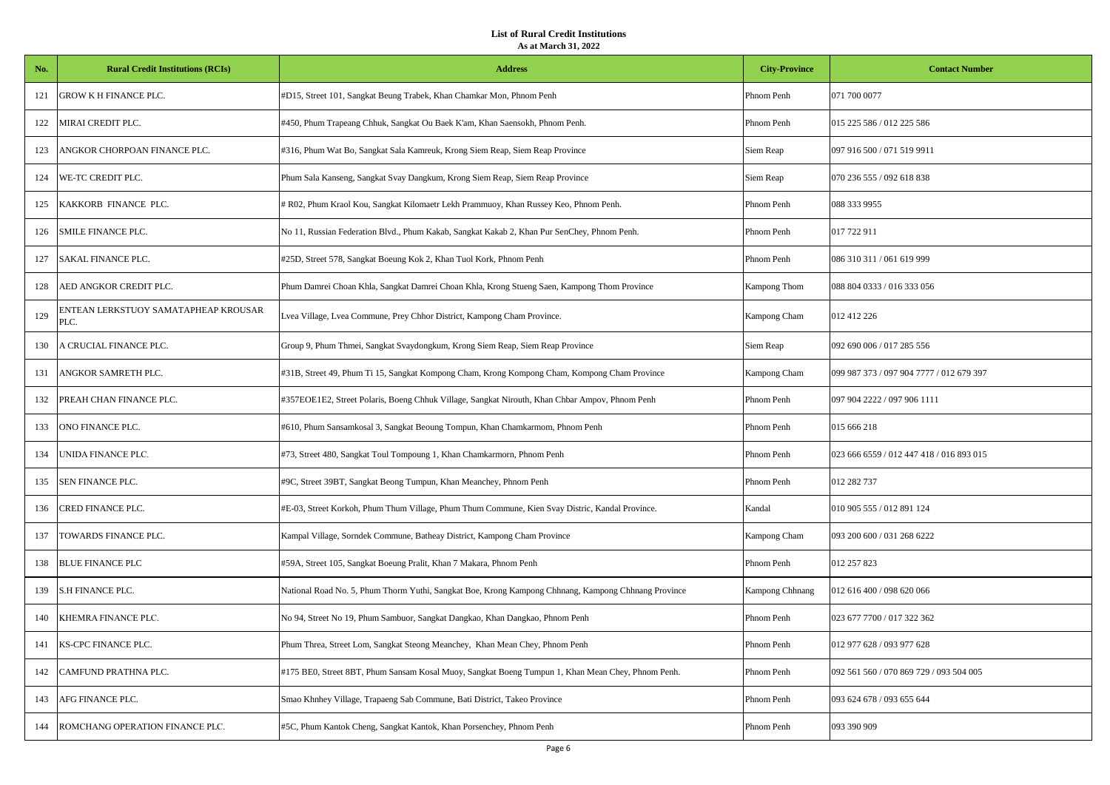| No. | <b>Rural Credit Institutions (RCIs)</b>      | <b>Address</b>                                                                                      | <b>City-Province</b> | <b>Contact Number</b>                    |
|-----|----------------------------------------------|-----------------------------------------------------------------------------------------------------|----------------------|------------------------------------------|
| 121 | GROW K H FINANCE PLC.                        | #D15, Street 101, Sangkat Beung Trabek, Khan Chamkar Mon, Phnom Penh                                | Phnom Penh           | 071 700 0077                             |
| 122 | MIRAI CREDIT PLC.                            | #450, Phum Trapeang Chhuk, Sangkat Ou Baek K'am, Khan Saensokh, Phnom Penh.                         | Phnom Penh           | 015 225 586 / 012 225 586                |
| 123 | ANGKOR CHORPOAN FINANCE PLC.                 | #316, Phum Wat Bo, Sangkat Sala Kamreuk, Krong Siem Reap, Siem Reap Province                        | Siem Reap            | 097 916 500 / 071 519 9911               |
| 124 | WE-TC CREDIT PLC.                            | Phum Sala Kanseng, Sangkat Svay Dangkum, Krong Siem Reap, Siem Reap Province                        | Siem Reap            | 070 236 555 / 092 618 838                |
| 125 | KAKKORB FINANCE PLC.                         | R02, Phum Kraol Kou, Sangkat Kilomaetr Lekh Prammuoy, Khan Russey Keo, Phnom Penh.                  | Phnom Penh           | 088 333 9955                             |
| 126 | SMILE FINANCE PLC.                           | No 11, Russian Federation Blvd., Phum Kakab, Sangkat Kakab 2, Khan Pur SenChey, Phnom Penh.         | Phnom Penh           | 017 722 911                              |
| 127 | <b>SAKAL FINANCE PLC.</b>                    | #25D, Street 578, Sangkat Boeung Kok 2, Khan Tuol Kork, Phnom Penh                                  | Phnom Penh           | 086 310 311 / 061 619 999                |
| 128 | AED ANGKOR CREDIT PLC.                       | Phum Damrei Choan Khla, Sangkat Damrei Choan Khla, Krong Stueng Saen, Kampong Thom Province         | Kampong Thom         | 088 804 0333 / 016 333 056               |
| 129 | ENTEAN LERKSTUOY SAMATAPHEAP KROUSAR<br>PLC. | Lvea Village, Lvea Commune, Prey Chhor District, Kampong Cham Province.                             | Kampong Cham         | 012 412 226                              |
| 130 | A CRUCIAL FINANCE PLC.                       | Group 9, Phum Thmei, Sangkat Svaydongkum, Krong Siem Reap, Siem Reap Province                       | Siem Reap            | 092 690 006 / 017 285 556                |
| 131 | ANGKOR SAMRETH PLC.                          | #31B, Street 49, Phum Ti 15, Sangkat Kompong Cham, Krong Kompong Cham, Kompong Cham Province        | Kampong Cham         | 099 987 373 / 097 904 7777 / 012 679 397 |
| 132 | PREAH CHAN FINANCE PLC.                      | #357EOE1E2, Street Polaris, Boeng Chhuk Village, Sangkat Nirouth, Khan Chbar Ampov, Phnom Penh      | Phnom Penh           | 097 904 2222 / 097 906 1111              |
| 133 | ONO FINANCE PLC.                             | #610, Phum Sansamkosal 3, Sangkat Beoung Tompun, Khan Chamkarmom, Phnom Penh                        | Phnom Penh           | 015 666 218                              |
| 134 | UNIDA FINANCE PLC.                           | #73, Street 480, Sangkat Toul Tompoung 1, Khan Chamkarmorn, Phnom Penh                              | Phnom Penh           | 023 666 6559 / 012 447 418 / 016 893 015 |
| 135 | SEN FINANCE PLC.                             | #9C, Street 39BT, Sangkat Beong Tumpun, Khan Meanchey, Phnom Penh                                   | Phnom Penh           | 012 282 737                              |
| 136 | CRED FINANCE PLC.                            | #E-03, Street Korkoh, Phum Thum Village, Phum Thum Commune, Kien Svay Distric, Kandal Province.     | Kandal               | 010 905 555 / 012 891 124                |
| 137 | TOWARDS FINANCE PLC.                         | Kampal Village, Sorndek Commune, Batheay District, Kampong Cham Province                            | Kampong Cham         | 093 200 600 / 031 268 6222               |
| 138 | <b>BLUE FINANCE PLC</b>                      | #59A, Street 105, Sangkat Boeung Pralit, Khan 7 Makara, Phnom Penh                                  | Phnom Penh           | 012 257 823                              |
| 139 | S.H FINANCE PLC.                             | National Road No. 5, Phum Thorm Yuthi, Sangkat Boe, Krong Kampong Chhnang, Kampong Chhnang Province | Kampong Chhnang      | 012 616 400 / 098 620 066                |
| 140 | KHEMRA FINANCE PLC.                          | No 94, Street No 19, Phum Sambuor, Sangkat Dangkao, Khan Dangkao, Phnom Penh                        | Phnom Penh           | 023 677 7700 / 017 322 362               |
| 141 | KS-CPC FINANCE PLC.                          | Phum Threa, Street Lom, Sangkat Steong Meanchey, Khan Mean Chey, Phnom Penh                         | Phnom Penh           | 012 977 628 / 093 977 628                |
| 142 | CAMFUND PRATHNA PLC.                         | #175 BE0, Street 8BT, Phum Sansam Kosal Muoy, Sangkat Boeng Tumpun 1, Khan Mean Chey, Phnom Penh.   | Phnom Penh           | 092 561 560 / 070 869 729 / 093 504 005  |
| 143 | AFG FINANCE PLC.                             | Smao Khnhey Village, Trapaeng Sab Commune, Bati District, Takeo Province                            | Phnom Penh           | 093 624 678 / 093 655 644                |
| 144 | ROMCHANG OPERATION FINANCE PLC.              | #5C, Phum Kantok Cheng, Sangkat Kantok, Khan Porsenchey, Phnom Penh                                 | Phnom Penh           | 093 390 909                              |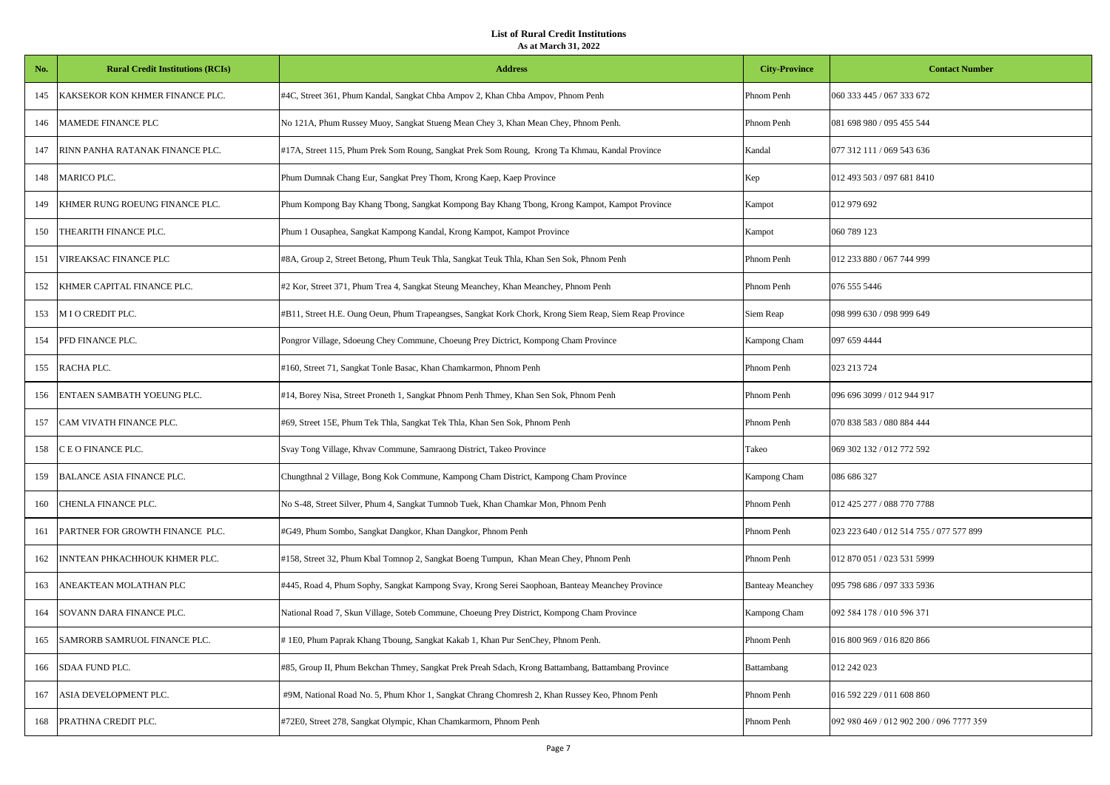| No. | <b>Rural Credit Institutions (RCIs)</b> | <b>Address</b>                                                                                         | <b>City-Province</b>    | <b>Contact Number</b>                    |
|-----|-----------------------------------------|--------------------------------------------------------------------------------------------------------|-------------------------|------------------------------------------|
| 145 | KAKSEKOR KON KHMER FINANCE PLC.         | #4C, Street 361, Phum Kandal, Sangkat Chba Ampov 2, Khan Chba Ampov, Phnom Penh                        | Phnom Penh              | 060 333 445 / 067 333 672                |
| 146 | MAMEDE FINANCE PLC                      | No 121A, Phum Russey Muoy, Sangkat Stueng Mean Chey 3, Khan Mean Chey, Phnom Penh.                     | Phnom Penh              | 081 698 980 / 095 455 544                |
| 147 | RINN PANHA RATANAK FINANCE PLC.         | #17A, Street 115, Phum Prek Som Roung, Sangkat Prek Som Roung, Krong Ta Khmau, Kandal Province         | Kandal                  | 077 312 111 / 069 543 636                |
| 148 | <b>MARICO PLC.</b>                      | Phum Dumnak Chang Eur, Sangkat Prey Thom, Krong Kaep, Kaep Province                                    | Kep                     | 012 493 503 / 097 681 8410               |
| 149 | KHMER RUNG ROEUNG FINANCE PLC.          | Phum Kompong Bay Khang Tbong, Sangkat Kompong Bay Khang Tbong, Krong Kampot, Kampot Province           | Kampot                  | 012 979 692                              |
| 150 | THEARITH FINANCE PLC.                   | Phum 1 Ousaphea, Sangkat Kampong Kandal, Krong Kampot, Kampot Province                                 | Kampot                  | 060 789 123                              |
| 151 | VIREAKSAC FINANCE PLC                   | #8A, Group 2, Street Betong, Phum Teuk Thla, Sangkat Teuk Thla, Khan Sen Sok, Phnom Penh               | Phnom Penh              | 012 233 880 / 067 744 999                |
| 152 | KHMER CAPITAL FINANCE PLC.              | #2 Kor, Street 371, Phum Trea 4, Sangkat Steung Meanchey, Khan Meanchey, Phnom Penh                    | Phnom Penh              | 076 555 5446                             |
| 153 | M I O CREDIT PLC.                       | #B11, Street H.E. Oung Oeun, Phum Trapeangses, Sangkat Kork Chork, Krong Siem Reap, Siem Reap Province | Siem Reap               | 098 999 630 / 098 999 649                |
| 154 | PFD FINANCE PLC.                        | Pongror Village, Sdoeung Chey Commune, Choeung Prey Dictrict, Kompong Cham Province                    | Kampong Cham            | 097 659 4444                             |
| 155 | RACHA PLC.                              | #160, Street 71, Sangkat Tonle Basac, Khan Chamkarmon, Phnom Penh                                      | Phnom Penh              | 023 213 724                              |
| 156 | ENTAEN SAMBATH YOEUNG PLC.              | #14, Borey Nisa, Street Proneth 1, Sangkat Phnom Penh Thmey, Khan Sen Sok, Phnom Penh                  | Phnom Penh              | 096 696 3099 / 012 944 917               |
| 157 | CAM VIVATH FINANCE PLC.                 | #69, Street 15E, Phum Tek Thla, Sangkat Tek Thla, Khan Sen Sok, Phnom Penh                             | Phnom Penh              | 070 838 583 / 080 884 444                |
| 158 | C E O FINANCE PLC.                      | Svay Tong Village, Khvav Commune, Samraong District, Takeo Province                                    | Takeo                   | 069 302 132 / 012 772 592                |
| 159 | <b>BALANCE ASIA FINANCE PLC.</b>        | Chungthnal 2 Village, Bong Kok Commune, Kampong Cham District, Kampong Cham Province                   | Kampong Cham            | 086 686 327                              |
| 160 | CHENLA FINANCE PLC.                     | No S-48, Street Silver, Phum 4, Sangkat Tumnob Tuek, Khan Chamkar Mon, Phnom Penh                      | Phnom Penh              | 012 425 277 / 088 770 7788               |
| 161 | PARTNER FOR GROWTH FINANCE PLC.         | #G49, Phum Sombo, Sangkat Dangkor, Khan Dangkor, Phnom Penh                                            | Phnom Penh              | 023 223 640 / 012 514 755 / 077 577 899  |
| 162 | INNTEAN PHKACHHOUK KHMER PLC.           | #158, Street 32, Phum Kbal Tomnop 2, Sangkat Boeng Tumpun, Khan Mean Chey, Phnom Penh                  | Phnom Penh              | 012 870 051 / 023 531 5999               |
| 163 | ANEAKTEAN MOLATHAN PLC                  | #445, Road 4, Phum Sophy, Sangkat Kampong Svay, Krong Serei Saophoan, Banteay Meanchey Province        | <b>Banteay Meanchey</b> | 095 798 686 / 097 333 5936               |
| 164 | SOVANN DARA FINANCE PLC.                | National Road 7, Skun Village, Soteb Commune, Choeung Prey District, Kompong Cham Province             | Kampong Cham            | 092 584 178 / 010 596 371                |
| 165 | SAMRORB SAMRUOL FINANCE PLC.            | #1E0, Phum Paprak Khang Tboung, Sangkat Kakab 1, Khan Pur SenChey, Phnom Penh.                         | Phnom Penh              | 016 800 969 / 016 820 866                |
| 166 | SDAA FUND PLC.                          | #85, Group II, Phum Bekchan Thmey, Sangkat Prek Preah Sdach, Krong Battambang, Battambang Province     | Battambang              | 012 242 023                              |
| 167 | ASIA DEVELOPMENT PLC.                   | #9M, National Road No. 5, Phum Khor 1, Sangkat Chrang Chomresh 2, Khan Russey Keo, Phnom Penh          | Phnom Penh              | 016 592 229 / 011 608 860                |
| 168 | PRATHNA CREDIT PLC.                     | #72E0, Street 278, Sangkat Olympic, Khan Chamkarmorn, Phnom Penh                                       | Phnom Penh              | 092 980 469 / 012 902 200 / 096 7777 359 |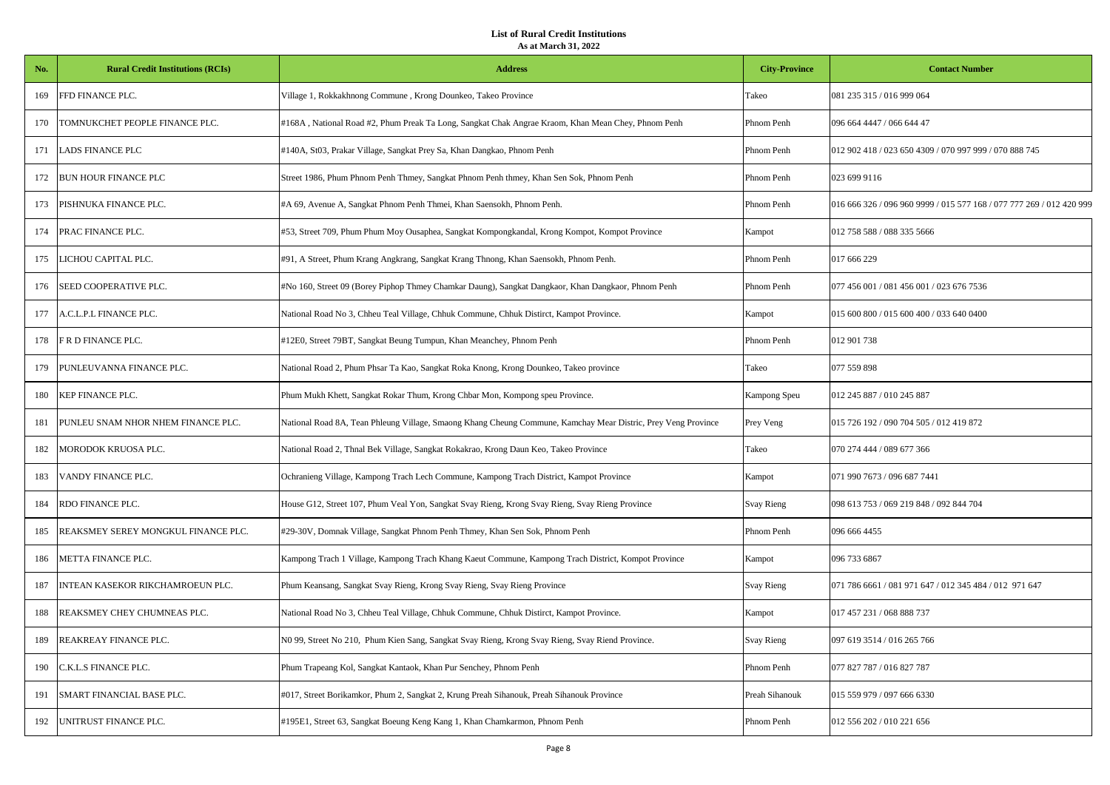| No. | <b>Rural Credit Institutions (RCIs)</b> | <b>Address</b>                                                                                                | <b>City-Province</b> | <b>Contact Number</b>                                                |
|-----|-----------------------------------------|---------------------------------------------------------------------------------------------------------------|----------------------|----------------------------------------------------------------------|
| 169 | FFD FINANCE PLC.                        | Village 1, Rokkakhnong Commune, Krong Dounkeo, Takeo Province                                                 | Takeo                | 081 235 315 / 016 999 064                                            |
| 170 | TOMNUKCHET PEOPLE FINANCE PLC.          | #168A, National Road #2, Phum Preak Ta Long, Sangkat Chak Angrae Kraom, Khan Mean Chey, Phnom Penh            | Phnom Penh           | 096 664 4447 / 066 644 47                                            |
| 171 | LADS FINANCE PLC                        | #140A, St03, Prakar Village, Sangkat Prey Sa, Khan Dangkao, Phnom Penh                                        | Phnom Penh           | 012 902 418 / 023 650 4309 / 070 997 999 / 070 888 745               |
| 172 | BUN HOUR FINANCE PLC                    | Street 1986, Phum Phnom Penh Thmey, Sangkat Phnom Penh thmey, Khan Sen Sok, Phnom Penh                        | Phnom Penh           | 023 699 9116                                                         |
| 173 | PISHNUKA FINANCE PLC.                   | #A 69, Avenue A, Sangkat Phnom Penh Thmei, Khan Saensokh, Phnom Penh.                                         | Phnom Penh           | 016 666 326 / 096 960 9999 / 015 577 168 / 077 777 269 / 012 420 999 |
| 174 | PRAC FINANCE PLC.                       | #53, Street 709, Phum Phum Moy Ousaphea, Sangkat Kompongkandal, Krong Kompot, Kompot Province                 | Kampot               | 012 758 588 / 088 335 5666                                           |
| 175 | LICHOU CAPITAL PLC.                     | #91, A Street, Phum Krang Angkrang, Sangkat Krang Thnong, Khan Saensokh, Phnom Penh.                          | Phnom Penh           | 017 666 229                                                          |
| 176 | SEED COOPERATIVE PLC.                   | #No 160, Street 09 (Borey Piphop Thmey Chamkar Daung), Sangkat Dangkaor, Khan Dangkaor, Phnom Penh            | Phnom Penh           | 077 456 001 / 081 456 001 / 023 676 7536                             |
| 177 | A.C.L.P.L FINANCE PLC.                  | National Road No 3, Chheu Teal Village, Chhuk Commune, Chhuk Distirct, Kampot Province.                       | Kampot               | 015 600 800 / 015 600 400 / 033 640 0400                             |
| 178 | F R D FINANCE PLC.                      | #12E0, Street 79BT, Sangkat Beung Tumpun, Khan Meanchey, Phnom Penh                                           | Phnom Penh           | 012 901 738                                                          |
| 179 | PUNLEUVANNA FINANCE PLC.                | National Road 2, Phum Phsar Ta Kao, Sangkat Roka Knong, Krong Dounkeo, Takeo province                         | Takeo                | 077 559 898                                                          |
| 180 | KEP FINANCE PLC.                        | Phum Mukh Khett, Sangkat Rokar Thum, Krong Chbar Mon, Kompong speu Province.                                  | Kampong Speu         | 012 245 887 / 010 245 887                                            |
| 181 | PUNLEU SNAM NHOR NHEM FINANCE PLC.      | National Road 8A, Tean Phleung Village, Smaong Khang Cheung Commune, Kamchay Mear Distric, Prey Veng Province | Prey Veng            | 015 726 192 / 090 704 505 / 012 419 872                              |
| 182 | MORODOK KRUOSA PLC.                     | National Road 2, Thnal Bek Village, Sangkat Rokakrao, Krong Daun Keo, Takeo Province                          | Takeo                | 070 274 444 / 089 677 366                                            |
| 183 | VANDY FINANCE PLC.                      | Ochranieng Village, Kampong Trach Lech Commune, Kampong Trach District, Kampot Province                       | Kampot               | 071 990 7673 / 096 687 7441                                          |
| 184 | RDO FINANCE PLC.                        | House G12, Street 107, Phum Veal Yon, Sangkat Svay Rieng, Krong Svay Rieng, Svay Rieng Province               | Svay Rieng           | 098 613 753 / 069 219 848 / 092 844 704                              |
| 185 | REAKSMEY SEREY MONGKUL FINANCE PLC.     | #29-30V, Domnak Village, Sangkat Phnom Penh Thmey, Khan Sen Sok, Phnom Penh                                   | Phnom Penh           | 096 666 4455                                                         |
| 186 | METTA FINANCE PLC.                      | Kampong Trach 1 Village, Kampong Trach Khang Kaeut Commune, Kampong Trach District, Kompot Province           | Kampot               | 096 733 6867                                                         |
| 187 | INTEAN KASEKOR RIKCHAMROEUN PLC.        | Phum Keansang, Sangkat Svay Rieng, Krong Svay Rieng, Svay Rieng Province                                      | Svay Rieng           | 071 786 6661 / 081 971 647 / 012 345 484 / 012 971 647               |
| 188 | REAKSMEY CHEY CHUMNEAS PLC.             | National Road No 3, Chheu Teal Village, Chhuk Commune, Chhuk Distirct, Kampot Province.                       | Kampot               | 017 457 231 / 068 888 737                                            |
| 189 | REAKREAY FINANCE PLC.                   | N0 99, Street No 210, Phum Kien Sang, Sangkat Svay Rieng, Krong Svay Rieng, Svay Riend Province.              | Svay Rieng           | 097 619 3514 / 016 265 766                                           |
| 190 | C.K.L.S FINANCE PLC.                    | Phum Trapeang Kol, Sangkat Kantaok, Khan Pur Senchey, Phnom Penh                                              | Phnom Penh           | 077 827 787 / 016 827 787                                            |
| 191 | SMART FINANCIAL BASE PLC.               | #017, Street Borikamkor, Phum 2, Sangkat 2, Krung Preah Sihanouk, Preah Sihanouk Province                     | Preah Sihanouk       | 015 559 979 / 097 666 6330                                           |
| 192 | UNITRUST FINANCE PLC.                   | #195E1, Street 63, Sangkat Boeung Keng Kang 1, Khan Chamkarmon, Phnom Penh                                    | Phnom Penh           | 012 556 202 / 010 221 656                                            |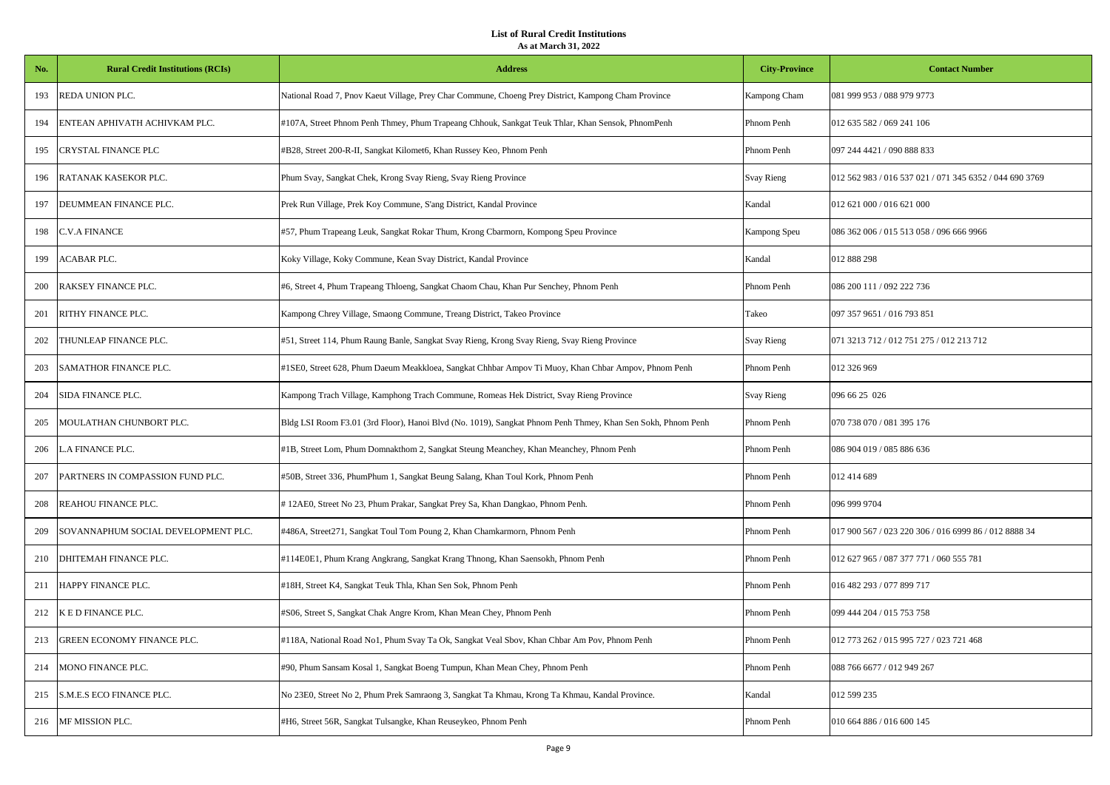| No. | <b>Rural Credit Institutions (RCIs)</b> | <b>Address</b>                                                                                              | <b>City-Province</b> | <b>Contact Number</b>                                   |
|-----|-----------------------------------------|-------------------------------------------------------------------------------------------------------------|----------------------|---------------------------------------------------------|
| 193 | REDA UNION PLC.                         | National Road 7, Pnov Kaeut Village, Prey Char Commune, Choeng Prey District, Kampong Cham Province         | Kampong Cham         | 081 999 953 / 088 979 9773                              |
| 194 | ENTEAN APHIVATH ACHIVKAM PLC.           | #107A, Street Phnom Penh Thmey, Phum Trapeang Chhouk, Sankgat Teuk Thlar, Khan Sensok, PhnomPenh            | Phnom Penh           | 012 635 582 / 069 241 106                               |
| 195 | CRYSTAL FINANCE PLC                     | #B28, Street 200-R-II, Sangkat Kilomet6, Khan Russey Keo, Phnom Penh                                        | Phnom Penh           | 097 244 4421 / 090 888 833                              |
| 196 | RATANAK KASEKOR PLC.                    | Phum Svay, Sangkat Chek, Krong Svay Rieng, Svay Rieng Province                                              | Svay Rieng           | 012 562 983 / 016 537 021 / 071 345 6352 / 044 690 3769 |
| 197 | DEUMMEAN FINANCE PLC.                   | Prek Run Village, Prek Koy Commune, S'ang District, Kandal Province                                         | Kandal               | 012 621 000 / 016 621 000                               |
| 198 | C.V.A FINANCE                           | #57, Phum Trapeang Leuk, Sangkat Rokar Thum, Krong Cbarmorn, Kompong Speu Province                          | Kampong Speu         | 086 362 006 / 015 513 058 / 096 666 9966                |
| 199 | ACABAR PLC.                             | Koky Village, Koky Commune, Kean Svay District, Kandal Province                                             | Kandal               | 012 888 298                                             |
| 200 | RAKSEY FINANCE PLC.                     | #6, Street 4, Phum Trapeang Thloeng, Sangkat Chaom Chau, Khan Pur Senchey, Phnom Penh                       | Phnom Penh           | 086 200 111 / 092 222 736                               |
| 201 | RITHY FINANCE PLC.                      | Kampong Chrey Village, Smaong Commune, Treang District, Takeo Province                                      | Takeo                | 097 357 9651 / 016 793 851                              |
| 202 | THUNLEAP FINANCE PLC.                   | #51, Street 114, Phum Raung Banle, Sangkat Svay Rieng, Krong Svay Rieng, Svay Rieng Province                | Svay Rieng           | 071 3213 712 / 012 751 275 / 012 213 712                |
| 203 | SAMATHOR FINANCE PLC.                   | #1SE0, Street 628, Phum Daeum Meakkloea, Sangkat Chhbar Ampov Ti Muoy, Khan Chbar Ampov, Phnom Penh         | Phnom Penh           | 012 326 969                                             |
| 204 | SIDA FINANCE PLC.                       | Kampong Trach Village, Kamphong Trach Commune, Romeas Hek District, Svay Rieng Province                     | Svay Rieng           | 096 66 25 026                                           |
| 205 | MOULATHAN CHUNBORT PLC.                 | Bldg LSI Room F3.01 (3rd Floor), Hanoi Blvd (No. 1019), Sangkat Phnom Penh Thmey, Khan Sen Sokh, Phnom Penh | Phnom Penh           | 070 738 070 / 081 395 176                               |
| 206 | L.A FINANCE PLC.                        | #1B, Street Lom, Phum Domnakthom 2, Sangkat Steung Meanchey, Khan Meanchey, Phnom Penh                      | Phnom Penh           | 086 904 019 / 085 886 636                               |
| 207 | PARTNERS IN COMPASSION FUND PLC.        | #50B, Street 336, PhumPhum 1, Sangkat Beung Salang, Khan Toul Kork, Phnom Penh                              | Phnom Penh           | 012 414 689                                             |
| 208 | REAHOU FINANCE PLC.                     | #12AE0, Street No 23, Phum Prakar, Sangkat Prey Sa, Khan Dangkao, Phnom Penh.                               | Phnom Penh           | 096 999 9704                                            |
| 209 | SOVANNAPHUM SOCIAL DEVELOPMENT PLC.     | #486A, Street271, Sangkat Toul Tom Poung 2, Khan Chamkarmorn, Phnom Penh                                    | Phnom Penh           | 017 900 567 / 023 220 306 / 016 6999 86 / 012 8888 34   |
| 210 | DHITEMAH FINANCE PLC.                   | #114E0E1, Phum Krang Angkrang, Sangkat Krang Thnong, Khan Saensokh, Phnom Penh                              | Phnom Penh           | 012 627 965 / 087 377 771 / 060 555 781                 |
| 211 | HAPPY FINANCE PLC.                      | #18H, Street K4, Sangkat Teuk Thla, Khan Sen Sok, Phnom Penh                                                | Phnom Penh           | 016 482 293 / 077 899 717                               |
| 212 | K E D FINANCE PLC.                      | #S06, Street S, Sangkat Chak Angre Krom, Khan Mean Chey, Phnom Penh                                         | Phnom Penh           | 099 444 204 / 015 753 758                               |
| 213 | GREEN ECONOMY FINANCE PLC.              | #118A, National Road No1, Phum Svay Ta Ok, Sangkat Veal Sbov, Khan Chbar Am Pov, Phnom Penh                 | Phnom Penh           | 012 773 262 / 015 995 727 / 023 721 468                 |
| 214 | MONO FINANCE PLC.                       | #90, Phum Sansam Kosal 1, Sangkat Boeng Tumpun, Khan Mean Chey, Phnom Penh                                  | Phnom Penh           | 088 766 6677 / 012 949 267                              |
| 215 | S.M.E.S ECO FINANCE PLC.                | No 23E0, Street No 2, Phum Prek Samraong 3, Sangkat Ta Khmau, Krong Ta Khmau, Kandal Province.              | Kandal               | 012 599 235                                             |
| 216 | MF MISSION PLC.                         | #H6, Street 56R, Sangkat Tulsangke, Khan Reuseykeo, Phnom Penh                                              | Phnom Penh           | 010 664 886 / 016 600 145                               |